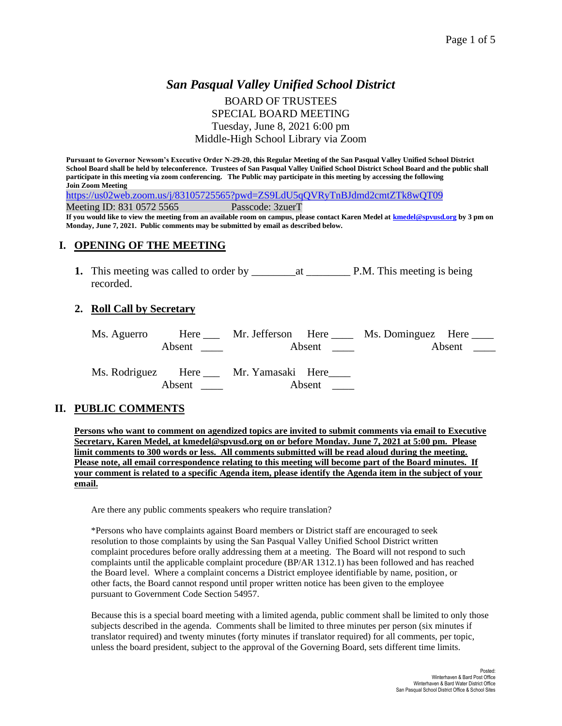## *San Pasqual Valley Unified School District* BOARD OF TRUSTEES SPECIAL BOARD MEETING Tuesday, June 8, 2021 6:00 pm Middle-High School Library via Zoom

**Pursuant to Governor Newsom's Executive Order N-29-20, this Regular Meeting of the San Pasqual Valley Unified School District School Board shall be held by teleconference. Trustees of San Pasqual Valley Unified School District School Board and the public shall participate in this meeting via zoom conferencing. The Public may participate in this meeting by accessing the following Join Zoom Meeting**

<https://us02web.zoom.us/j/83105725565?pwd=ZS9LdU5qQVRyTnBJdmd2cmtZTk8wQT09>

Meeting ID: 831 0572 5565 Passcode: 3zuerT

**If you would like to view the meeting from an available room on campus, please contact Karen Medel at [kmedel@spvusd.org](mailto:kmedel@spvusd.org) by 3 pm on Monday, June 7, 2021. Public comments may be submitted by email as described below.** 

#### **I. OPENING OF THE MEETING**

**1.** This meeting was called to order by \_\_\_\_\_\_\_\_at \_\_\_\_\_\_\_\_ P.M. This meeting is being recorded.

#### **2. Roll Call by Secretary**

| Ms. Aguerro |                        |                                      |                        | Here Mr. Jefferson Here Ms. Dominguez Here |  |
|-------------|------------------------|--------------------------------------|------------------------|--------------------------------------------|--|
|             | Absent $\qquad \qquad$ |                                      | Absent $\qquad \qquad$ | Absent $\_\_$                              |  |
|             |                        |                                      |                        |                                            |  |
|             |                        | Ms. Rodriguez Here Mr. Yamasaki Here |                        |                                            |  |
|             | Absent                 |                                      | Absent                 |                                            |  |

#### **II. PUBLIC COMMENTS**

**Persons who want to comment on agendized topics are invited to submit comments via email to Executive Secretary, Karen Medel, at kmedel@spvusd.org on or before Monday. June 7, 2021 at 5:00 pm. Please limit comments to 300 words or less. All comments submitted will be read aloud during the meeting. Please note, all email correspondence relating to this meeting will become part of the Board minutes. If your comment is related to a specific Agenda item, please identify the Agenda item in the subject of your email.**

Are there any public comments speakers who require translation?

\*Persons who have complaints against Board members or District staff are encouraged to seek resolution to those complaints by using the San Pasqual Valley Unified School District written complaint procedures before orally addressing them at a meeting. The Board will not respond to such complaints until the applicable complaint procedure (BP/AR 1312.1) has been followed and has reached the Board level. Where a complaint concerns a District employee identifiable by name, position, or other facts, the Board cannot respond until proper written notice has been given to the employee pursuant to Government Code Section 54957.

Because this is a special board meeting with a limited agenda, public comment shall be limited to only those subjects described in the agenda. Comments shall be limited to three minutes per person (six minutes if translator required) and twenty minutes (forty minutes if translator required) for all comments, per topic, unless the board president, subject to the approval of the Governing Board, sets different time limits.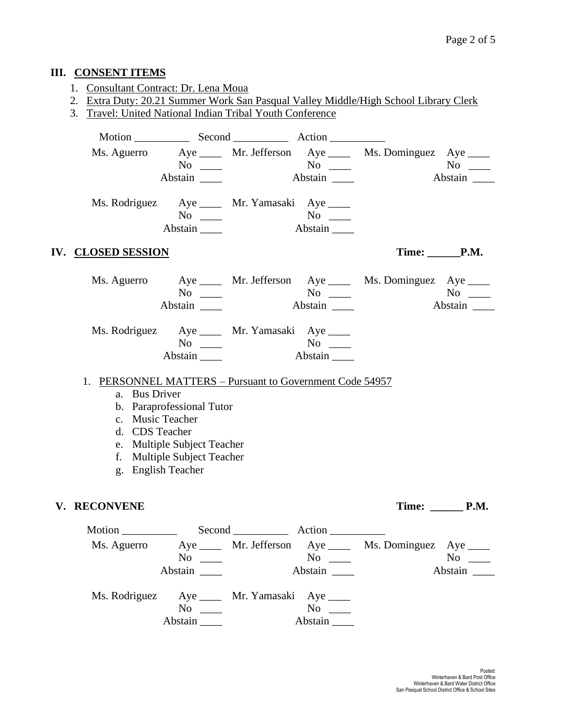## **III. CONSENT ITEMS**

- 1. Consultant Contract: Dr. Lena Moua
- 2. Extra Duty: 20.21 Summer Work San Pasqual Valley Middle/High School Library Clerk
- 3. Travel: United National Indian Tribal Youth Conference

|                                               |                                                              |                      | Ms. Aguerro Aye ____ Mr. Jefferson Aye ____ Ms. Dominguez Aye ____ |                    |
|-----------------------------------------------|--------------------------------------------------------------|----------------------|--------------------------------------------------------------------|--------------------|
|                                               | $No \_\_$                                                    |                      |                                                                    | $No \ \_$          |
|                                               | Abstain                                                      | Abstain              |                                                                    | Abstain            |
| Ms. Rodriguez Aye _____ Mr. Yamasaki Aye ____ | $No \ \_$<br>Abstain                                         | $No \ \_$<br>Abstain |                                                                    |                    |
| <b>IV. CLOSED SESSION</b>                     |                                                              |                      |                                                                    | $Time: \_\_\_P.M.$ |
|                                               | $No \ \_$                                                    |                      | Ms. Aguerro Aye ____ Mr. Jefferson Aye ____ Ms. Dominguez Aye ____ | $No \ \_$          |
|                                               | Abstain                                                      | Abstain              |                                                                    | Abstain            |
| Ms. Rodriguez Aye ____ Mr. Yamasaki Aye ____  |                                                              |                      |                                                                    |                    |
|                                               | $No \ \_$                                                    | $No \ \_$            |                                                                    |                    |
|                                               | Abstain $\_\_\_\$                                            | Abstain              |                                                                    |                    |
| 1.                                            | <b>PERSONNEL MATTERS – Pursuant to Government Code 54957</b> |                      |                                                                    |                    |
| a. Bus Driver                                 |                                                              |                      |                                                                    |                    |
|                                               | b. Paraprofessional Tutor                                    |                      |                                                                    |                    |
| c. Music Teacher                              |                                                              |                      |                                                                    |                    |
| d. CDS Teacher                                |                                                              |                      |                                                                    |                    |
|                                               | e. Multiple Subject Teacher                                  |                      |                                                                    |                    |
|                                               | f. Multiple Subject Teacher                                  |                      |                                                                    |                    |
|                                               | g. English Teacher                                           |                      |                                                                    |                    |
| V. RECONVENE                                  |                                                              |                      |                                                                    | Time: P.M.         |
|                                               |                                                              |                      |                                                                    |                    |
| Ms. Aguerro                                   |                                                              |                      | Aye ______ Mr. Jefferson Aye _____ Ms. Dominguez Aye _____         |                    |
|                                               | $No \ \_$                                                    | $No \ \_$            |                                                                    | $No \ \_$          |
|                                               |                                                              | Abstain              |                                                                    | Abstain            |
| Ms. Rodriguez Aye _____ Mr. Yamasaki Aye ____ |                                                              |                      |                                                                    |                    |
|                                               | $No \ \_$                                                    | $No \ \_$            |                                                                    |                    |
|                                               | Abstain ______                                               | Abstain              |                                                                    |                    |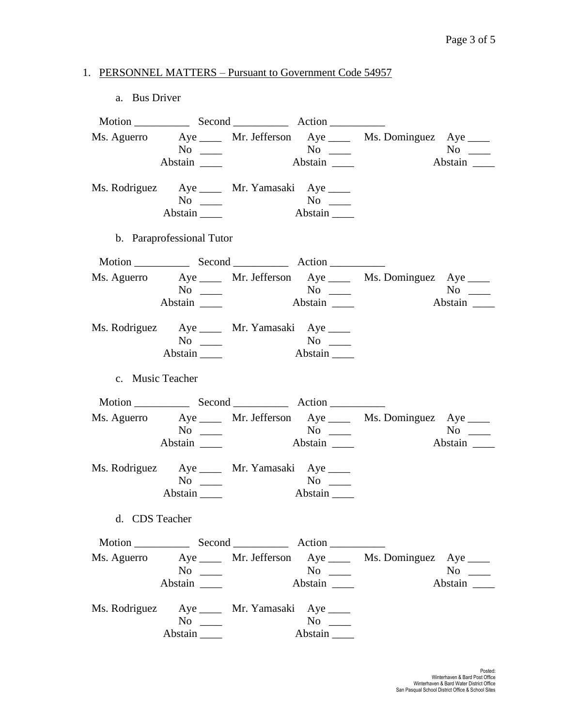## 1. PERSONNEL MATTERS – Pursuant to Government Code 54957

#### a. Bus Driver

|                  |                                               |                             |                  | Ms. Aguerro Aye _____ Mr. Jefferson Aye _____ Ms. Dominguez Aye ____ |                               |
|------------------|-----------------------------------------------|-----------------------------|------------------|----------------------------------------------------------------------|-------------------------------|
|                  |                                               |                             |                  |                                                                      | $No \_$                       |
|                  | Abstain $\frac{ }{ }$                         |                             |                  |                                                                      | Abstain                       |
|                  | Ms. Rodriguez Aye _____ Mr. Yamasaki Aye ____ |                             |                  |                                                                      |                               |
|                  | $No \ \_$                                     | No<br>Abstain               |                  |                                                                      |                               |
|                  | Abstain                                       |                             |                  |                                                                      |                               |
|                  | b. Paraprofessional Tutor                     |                             |                  |                                                                      |                               |
|                  |                                               |                             |                  |                                                                      |                               |
|                  |                                               |                             |                  | Ms. Aguerro Aye _____ Mr. Jefferson Aye _____ Ms. Dominguez Aye ____ |                               |
|                  | $\overline{N_0}$ $\overline{\phantom{0}}$     | $N^{\rm o}$ $\qquad \qquad$ |                  |                                                                      | $No \_$                       |
|                  | Abstain $\_\_\_\_\_\$                         |                             | Abstain          |                                                                      |                               |
|                  | Ms. Rodriguez Aye _____ Mr. Yamasaki Aye ____ |                             |                  |                                                                      |                               |
|                  | $No \ \_$                                     |                             |                  |                                                                      |                               |
|                  | Abstain                                       |                             | Abstain          |                                                                      |                               |
| c. Music Teacher |                                               |                             |                  |                                                                      |                               |
|                  |                                               |                             |                  |                                                                      |                               |
|                  |                                               |                             |                  | Ms. Aguerro Aye _____ Mr. Jefferson Aye ____ Ms. Dominguez Aye ____  |                               |
|                  |                                               | $No$ No $No$ $\qquad$       |                  |                                                                      | $No \t —$                     |
|                  |                                               | Abstain                     |                  |                                                                      | $\overline{\mathsf{Abstain}}$ |
|                  | Ms. Rodriguez Aye ____ Mr. Yamasaki Aye ____  |                             |                  |                                                                      |                               |
|                  | $No \ \_$                                     |                             | $No \ \_$        |                                                                      |                               |
|                  | $Abstain$ <sub>_____</sub>                    |                             | Abstain          |                                                                      |                               |
| d. CDS Teacher   |                                               |                             |                  |                                                                      |                               |
|                  |                                               |                             |                  |                                                                      |                               |
|                  |                                               |                             |                  | Ms. Aguerro Aye _____ Mr. Jefferson Aye _____ Ms. Dominguez Aye ____ |                               |
|                  | No $\qquad$                                   |                             | $\overline{N_0}$ |                                                                      | $No \_$                       |
|                  | Abstain                                       |                             |                  |                                                                      | Abstain                       |
|                  | Ms. Rodriguez Aye _____ Mr. Yamasaki Aye ____ |                             |                  |                                                                      |                               |
|                  | $No \ \_$                                     |                             | $No \ \_$        |                                                                      |                               |
|                  |                                               |                             |                  |                                                                      |                               |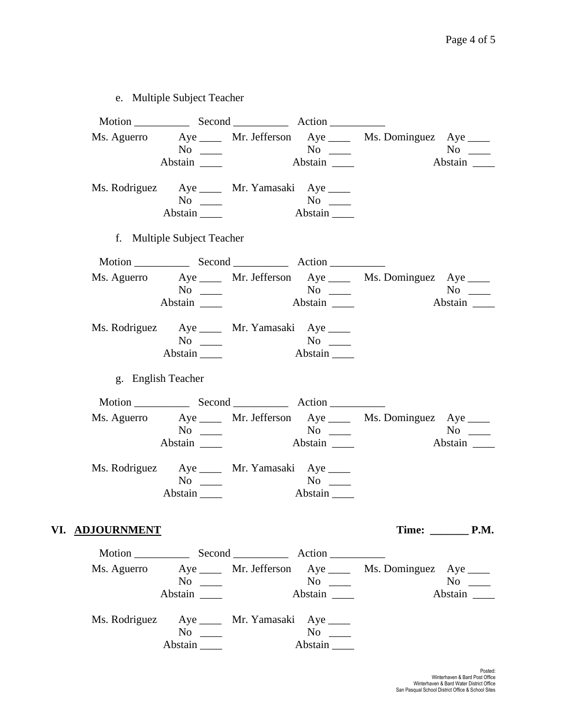# e. Multiple Subject Teacher

|                        | $No \ \_$<br>Abstain                                                              |       | $No \ \_$<br>Abstain                                       | Ms. Aguerro Aye _____ Mr. Jefferson Aye _____ Ms. Dominguez Aye ____ | $No \ \_$<br>Abstain            |  |
|------------------------|-----------------------------------------------------------------------------------|-------|------------------------------------------------------------|----------------------------------------------------------------------|---------------------------------|--|
|                        | Ms. Rodriguez Aye _____ Mr. Yamasaki Aye ____<br>$No \ \_$<br>Abstain $\_\_\_\_\$ |       | Abstain                                                    |                                                                      |                                 |  |
|                        | f. Multiple Subject Teacher                                                       |       |                                                            |                                                                      |                                 |  |
|                        |                                                                                   |       |                                                            |                                                                      |                                 |  |
|                        | $No \ \_$                                                                         | $N$ o | Abstain                                                    | Ms. Aguerro Aye ____ Mr. Jefferson Aye ____ Ms. Dominguez Aye ____   | $No \_\_$                       |  |
|                        | Ms. Rodriguez Aye _____ Mr. Yamasaki Aye ____<br>$No \ \_$<br>Abstain             |       | $No \ \_$                                                  |                                                                      |                                 |  |
|                        | g. English Teacher                                                                |       |                                                            |                                                                      |                                 |  |
|                        |                                                                                   |       |                                                            |                                                                      |                                 |  |
|                        | $No \ \_$<br>Abstain                                                              |       | $\overline{N_{0}}$ $\overline{\phantom{0}}$                | Ms. Aguerro Aye ____ Mr. Jefferson Aye ____ Ms. Dominguez Aye ____   | $No \ \_$<br>Abstain            |  |
|                        | Ms. Rodriguez Aye ____ Mr. Yamasaki Aye ____<br>$No \ \_$<br>Abstain              |       | $\overline{N_0}$ $\overline{\phantom{0}}$<br>Abstain _____ |                                                                      |                                 |  |
| VI. <u>ADJOURNMENT</u> |                                                                                   |       |                                                            |                                                                      | Time: $\rule{1em}{0.15mm}$ P.M. |  |
|                        |                                                                                   |       |                                                            |                                                                      |                                 |  |
|                        | $No \_\_$                                                                         |       | $\overline{N_0}$ $\overline{\phantom{0}}$<br>Abstain       | Ms. Aguerro Aye ____ Mr. Jefferson Aye ____ Ms. Dominguez Aye ____   | $No \_$                         |  |
|                        | Ms. Rodriguez Aye _____ Mr. Yamasaki Aye ____<br>$No \_$<br>Abstain               |       | $No \t —$<br>Abstain                                       |                                                                      |                                 |  |